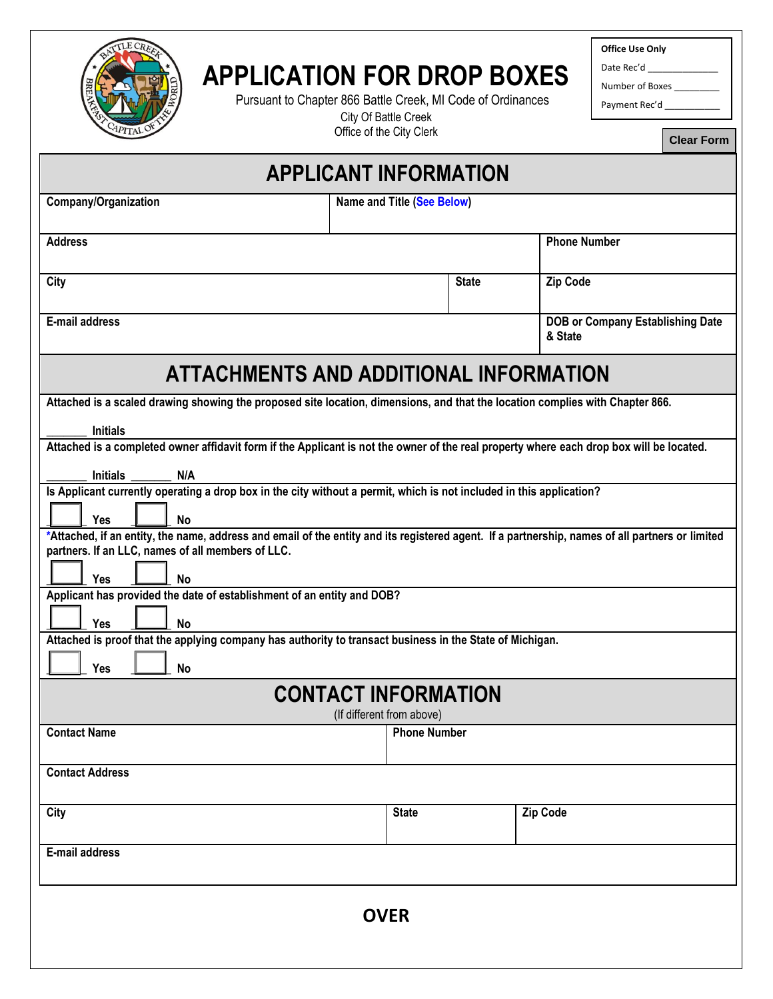

## **APPLICATION FOR DROP BOXES**Pursuant to Chapter 866 Battle Creek, MI Code of Ordinances

City Of Battle Creek Office of the City Clerk **Office Use Only**

Date Rec'd

Number of Boxes \_\_\_\_\_\_\_\_\_

Payment Rec'd \_

**Clear Form**

| <b>APPLICANT INFORMATION</b>                                                                                                                                                                         |                            |              |                                                    |  |
|------------------------------------------------------------------------------------------------------------------------------------------------------------------------------------------------------|----------------------------|--------------|----------------------------------------------------|--|
| <b>Company/Organization</b>                                                                                                                                                                          | Name and Title (See Below) |              |                                                    |  |
| <b>Address</b>                                                                                                                                                                                       |                            |              | <b>Phone Number</b>                                |  |
| City                                                                                                                                                                                                 |                            | <b>State</b> | Zip Code                                           |  |
| E-mail address                                                                                                                                                                                       |                            |              | <b>DOB or Company Establishing Date</b><br>& State |  |
| ATTACHMENTS AND ADDITIONAL INFORMATION                                                                                                                                                               |                            |              |                                                    |  |
| Attached is a scaled drawing showing the proposed site location, dimensions, and that the location complies with Chapter 866.                                                                        |                            |              |                                                    |  |
| <b>Initials</b><br>Attached is a completed owner affidavit form if the Applicant is not the owner of the real property where each drop box will be located.                                          |                            |              |                                                    |  |
| <b>Initials</b><br>N/A                                                                                                                                                                               |                            |              |                                                    |  |
| Is Applicant currently operating a drop box in the city without a permit, which is not included in this application?                                                                                 |                            |              |                                                    |  |
| <b>Yes</b><br><b>No</b>                                                                                                                                                                              |                            |              |                                                    |  |
| *Attached, if an entity, the name, address and email of the entity and its registered agent. If a partnership, names of all partners or limited<br>partners. If an LLC, names of all members of LLC. |                            |              |                                                    |  |
|                                                                                                                                                                                                      |                            |              |                                                    |  |
| Yes<br><b>No</b><br>Applicant has provided the date of establishment of an entity and DOB?                                                                                                           |                            |              |                                                    |  |
| Yes                                                                                                                                                                                                  |                            |              |                                                    |  |
| <b>No</b><br>Attached is proof that the applying company has authority to transact business in the State of Michigan.                                                                                |                            |              |                                                    |  |
| Yes<br><b>No</b>                                                                                                                                                                                     |                            |              |                                                    |  |
| <b>CONTACT INFORMATION</b>                                                                                                                                                                           |                            |              |                                                    |  |
|                                                                                                                                                                                                      | (If different from above)  |              |                                                    |  |
| <b>Contact Name</b>                                                                                                                                                                                  | <b>Phone Number</b>        |              |                                                    |  |
| <b>Contact Address</b>                                                                                                                                                                               |                            |              |                                                    |  |
|                                                                                                                                                                                                      |                            |              |                                                    |  |
| City                                                                                                                                                                                                 | <b>State</b>               |              | <b>Zip Code</b>                                    |  |
| E-mail address                                                                                                                                                                                       |                            |              |                                                    |  |
|                                                                                                                                                                                                      |                            |              |                                                    |  |
|                                                                                                                                                                                                      |                            |              |                                                    |  |
| <b>OVER</b>                                                                                                                                                                                          |                            |              |                                                    |  |
|                                                                                                                                                                                                      |                            |              |                                                    |  |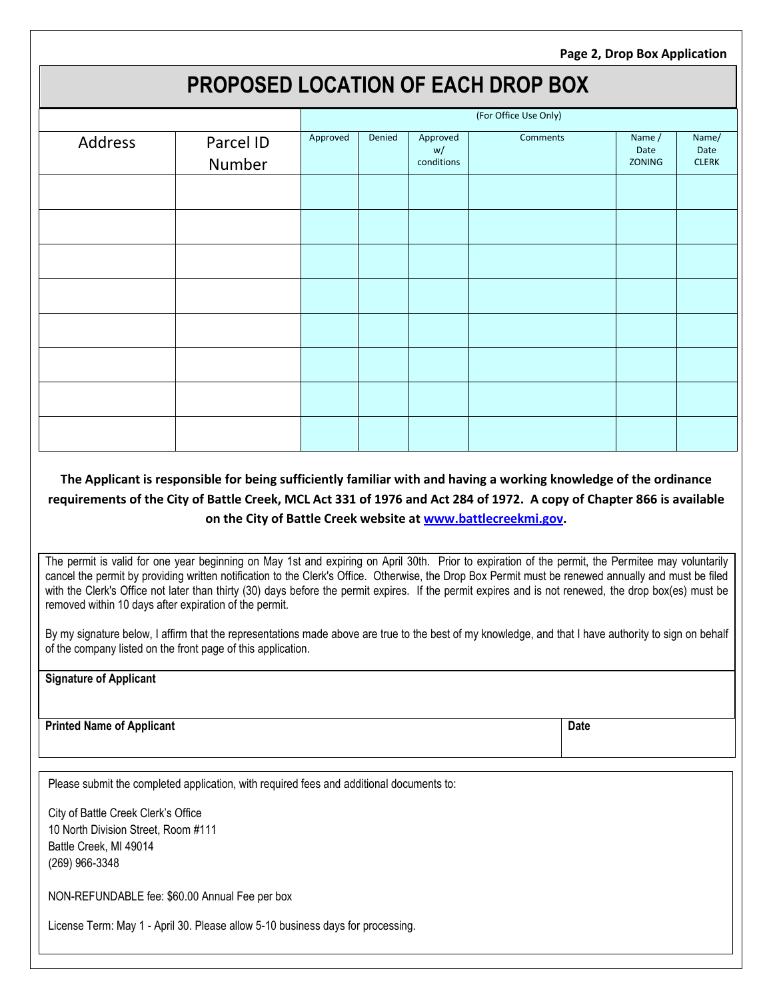**Page 2, Drop Box Application**

## **PROPOSED LOCATION OF EACH DROP BOX**

|         |           | (For Office Use Only) |        |                |          |                |               |
|---------|-----------|-----------------------|--------|----------------|----------|----------------|---------------|
| Address | Parcel ID | Approved              | Denied | Approved<br>w/ | Comments | Name /<br>Date | Name/<br>Date |
|         | Number    |                       |        | conditions     |          | ZONING         | CLERK         |
|         |           |                       |        |                |          |                |               |
|         |           |                       |        |                |          |                |               |
|         |           |                       |        |                |          |                |               |
|         |           |                       |        |                |          |                |               |
|         |           |                       |        |                |          |                |               |
|         |           |                       |        |                |          |                |               |
|         |           |                       |        |                |          |                |               |
|         |           |                       |        |                |          |                |               |

## **The Applicant is responsible for being sufficiently familiar with and having a working knowledge of the ordinance requirements of the City of Battle Creek, MCL Act 331 of 1976 and Act 284 of 1972. A copy of Chapter 866 is available on the City of Battle Creek website a[t www.battlecreekmi.gov.](http://www.battlecreekmi.gov/)**

The permit is valid for one year beginning on May 1st and expiring on April 30th. Prior to expiration of the permit, the Permitee may voluntarily cancel the permit by providing written notification to the Clerk's Office. Otherwise, the Drop Box Permit must be renewed annually and must be filed with the Clerk's Office not later than thirty (30) days before the permit expires. If the permit expires and is not renewed, the drop box(es) must be removed within 10 days after expiration of the permit.

By my signature below, I affirm that the representations made above are true to the best of my knowledge, and that I have authority to sign on behalf of the company listed on the front page of this application.

| <b>Signature of Applicant</b> |  |
|-------------------------------|--|
|-------------------------------|--|

**Printed Name of Applicant Date** 

Please submit the completed application, with required fees and additional documents to:

City of Battle Creek Clerk's Office 10 North Division Street, Room #111 Battle Creek, MI 49014 (269) 966-3348

NON-REFUNDABLE fee: \$60.00 Annual Fee per box

License Term: May 1 - April 30. Please allow 5-10 business days for processing.